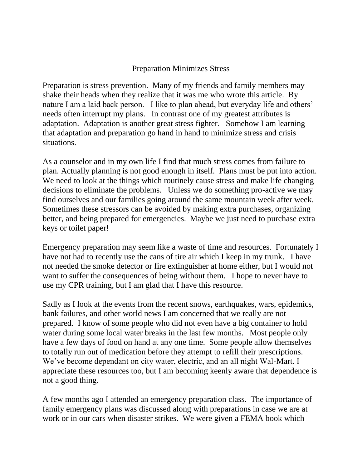## Preparation Minimizes Stress

Preparation is stress prevention. Many of my friends and family members may shake their heads when they realize that it was me who wrote this article. By nature I am a laid back person. I like to plan ahead, but everyday life and others' needs often interrupt my plans. In contrast one of my greatest attributes is adaptation. Adaptation is another great stress fighter. Somehow I am learning that adaptation and preparation go hand in hand to minimize stress and crisis situations.

As a counselor and in my own life I find that much stress comes from failure to plan. Actually planning is not good enough in itself. Plans must be put into action. We need to look at the things which routinely cause stress and make life changing decisions to eliminate the problems. Unless we do something pro-active we may find ourselves and our families going around the same mountain week after week. Sometimes these stressors can be avoided by making extra purchases, organizing better, and being prepared for emergencies. Maybe we just need to purchase extra keys or toilet paper!

Emergency preparation may seem like a waste of time and resources. Fortunately I have not had to recently use the cans of tire air which I keep in my trunk. I have not needed the smoke detector or fire extinguisher at home either, but I would not want to suffer the consequences of being without them. I hope to never have to use my CPR training, but I am glad that I have this resource.

Sadly as I look at the events from the recent snows, earthquakes, wars, epidemics, bank failures, and other world news I am concerned that we really are not prepared. I know of some people who did not even have a big container to hold water during some local water breaks in the last few months. Most people only have a few days of food on hand at any one time. Some people allow themselves to totally run out of medication before they attempt to refill their prescriptions. We've become dependant on city water, electric, and an all night Wal-Mart. I appreciate these resources too, but I am becoming keenly aware that dependence is not a good thing.

A few months ago I attended an emergency preparation class. The importance of family emergency plans was discussed along with preparations in case we are at work or in our cars when disaster strikes. We were given a FEMA book which